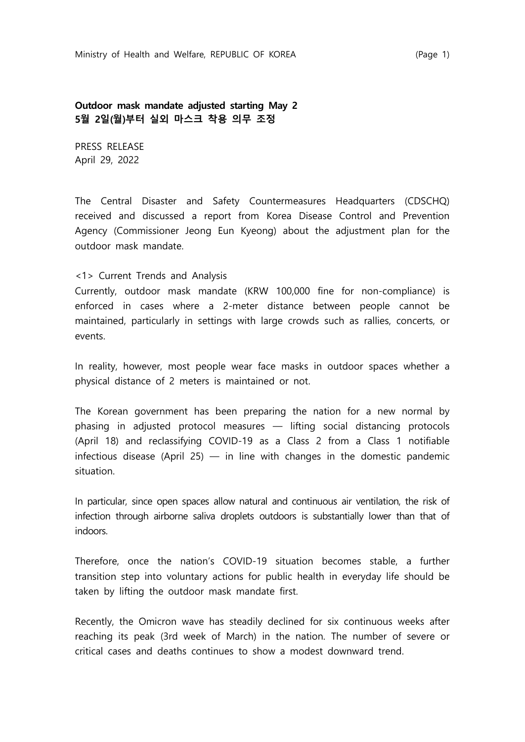**Outdoor mask mandate adjusted starting May 2 5월 2일(월)부터 실외 마스크 착용 의무 조정**

PRESS RELEASE April 29, 2022

The Central Disaster and Safety Countermeasures Headquarters (CDSCHQ) received and discussed a report from Korea Disease Control and Prevention Agency (Commissioner Jeong Eun Kyeong) about the adjustment plan for the outdoor mask mandate.

## <1> Current Trends and Analysis

Currently, outdoor mask mandate (KRW 100,000 fine for non-compliance) is enforced in cases where a 2-meter distance between people cannot be maintained, particularly in settings with large crowds such as rallies, concerts, or events.

In reality, however, most people wear face masks in outdoor spaces whether a physical distance of 2 meters is maintained or not.

The Korean government has been preparing the nation for a new normal by phasing in adjusted protocol measures ― lifting social distancing protocols (April 18) and reclassifying COVID-19 as a Class 2 from a Class 1 notifiable infectious disease (April 25) — in line with changes in the domestic pandemic situation.

In particular, since open spaces allow natural and continuous air ventilation, the risk of infection through airborne saliva droplets outdoors is substantially lower than that of indoors.

Therefore, once the nation's COVID-19 situation becomes stable, a further transition step into voluntary actions for public health in everyday life should be taken by lifting the outdoor mask mandate first.

Recently, the Omicron wave has steadily declined for six continuous weeks after reaching its peak (3rd week of March) in the nation. The number of severe or critical cases and deaths continues to show a modest downward trend.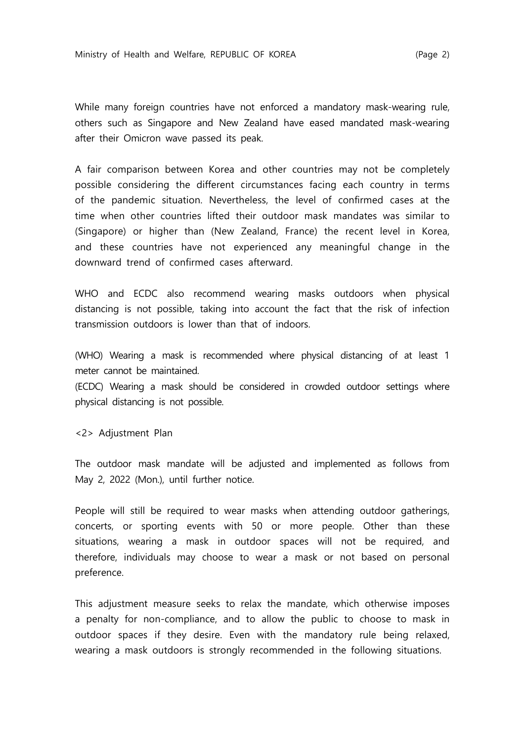While many foreign countries have not enforced a mandatory mask-wearing rule, others such as Singapore and New Zealand have eased mandated mask-wearing after their Omicron wave passed its peak.

A fair comparison between Korea and other countries may not be completely possible considering the different circumstances facing each country in terms of the pandemic situation. Nevertheless, the level of confirmed cases at the time when other countries lifted their outdoor mask mandates was similar to (Singapore) or higher than (New Zealand, France) the recent level in Korea, and these countries have not experienced any meaningful change in the downward trend of confirmed cases afterward.

WHO and ECDC also recommend wearing masks outdoors when physical distancing is not possible, taking into account the fact that the risk of infection transmission outdoors is lower than that of indoors.

(WHO) Wearing a mask is recommended where physical distancing of at least 1 meter cannot be maintained.

(ECDC) Wearing a mask should be considered in crowded outdoor settings where physical distancing is not possible.

<2> Adjustment Plan

The outdoor mask mandate will be adjusted and implemented as follows from May 2, 2022 (Mon.), until further notice.

People will still be required to wear masks when attending outdoor gatherings, concerts, or sporting events with 50 or more people. Other than these situations, wearing a mask in outdoor spaces will not be required, and therefore, individuals may choose to wear a mask or not based on personal preference.

This adjustment measure seeks to relax the mandate, which otherwise imposes a penalty for non-compliance, and to allow the public to choose to mask in outdoor spaces if they desire. Even with the mandatory rule being relaxed, wearing a mask outdoors is strongly recommended in the following situations.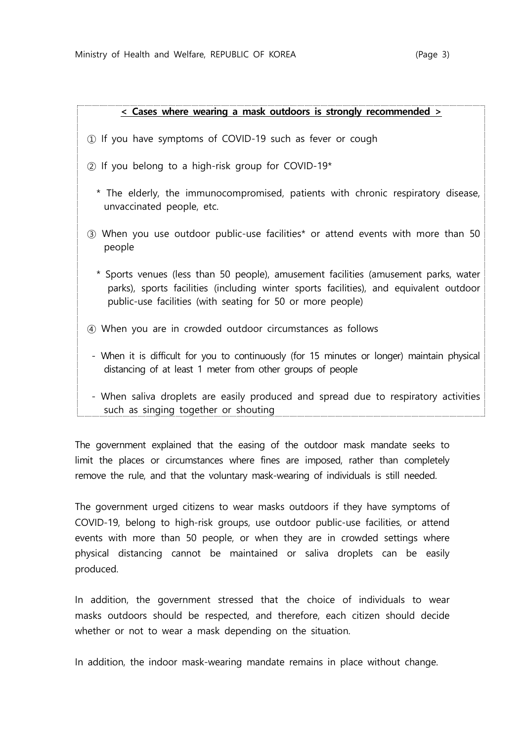| ٦<br>- |  |
|--------|--|
|        |  |

## **< Cases where wearing a mask outdoors is strongly recommended >**

- ① If you have symptoms of COVID-19 such as fever or cough
- ② If you belong to a high-risk group for COVID-19\*
	- \* The elderly, the immunocompromised, patients with chronic respiratory disease, unvaccinated people, etc.
- ③ When you use outdoor public-use facilities\* or attend events with more than 50 people
	- \* Sports venues (less than 50 people), amusement facilities (amusement parks, water parks), sports facilities (including winter sports facilities), and equivalent outdoor public-use facilities (with seating for 50 or more people)
- ④ When you are in crowded outdoor circumstances as follows
- When it is difficult for you to continuously (for 15 minutes or longer) maintain physical distancing of at least 1 meter from other groups of people
- When saliva droplets are easily produced and spread due to respiratory activities such as singing together or shouting

The government explained that the easing of the outdoor mask mandate seeks to limit the places or circumstances where fines are imposed, rather than completely remove the rule, and that the voluntary mask-wearing of individuals is still needed.

The government urged citizens to wear masks outdoors if they have symptoms of COVID-19, belong to high-risk groups, use outdoor public-use facilities, or attend events with more than 50 people, or when they are in crowded settings where physical distancing cannot be maintained or saliva droplets can be easily produced.

In addition, the government stressed that the choice of individuals to wear masks outdoors should be respected, and therefore, each citizen should decide whether or not to wear a mask depending on the situation.

In addition, the indoor mask-wearing mandate remains in place without change.